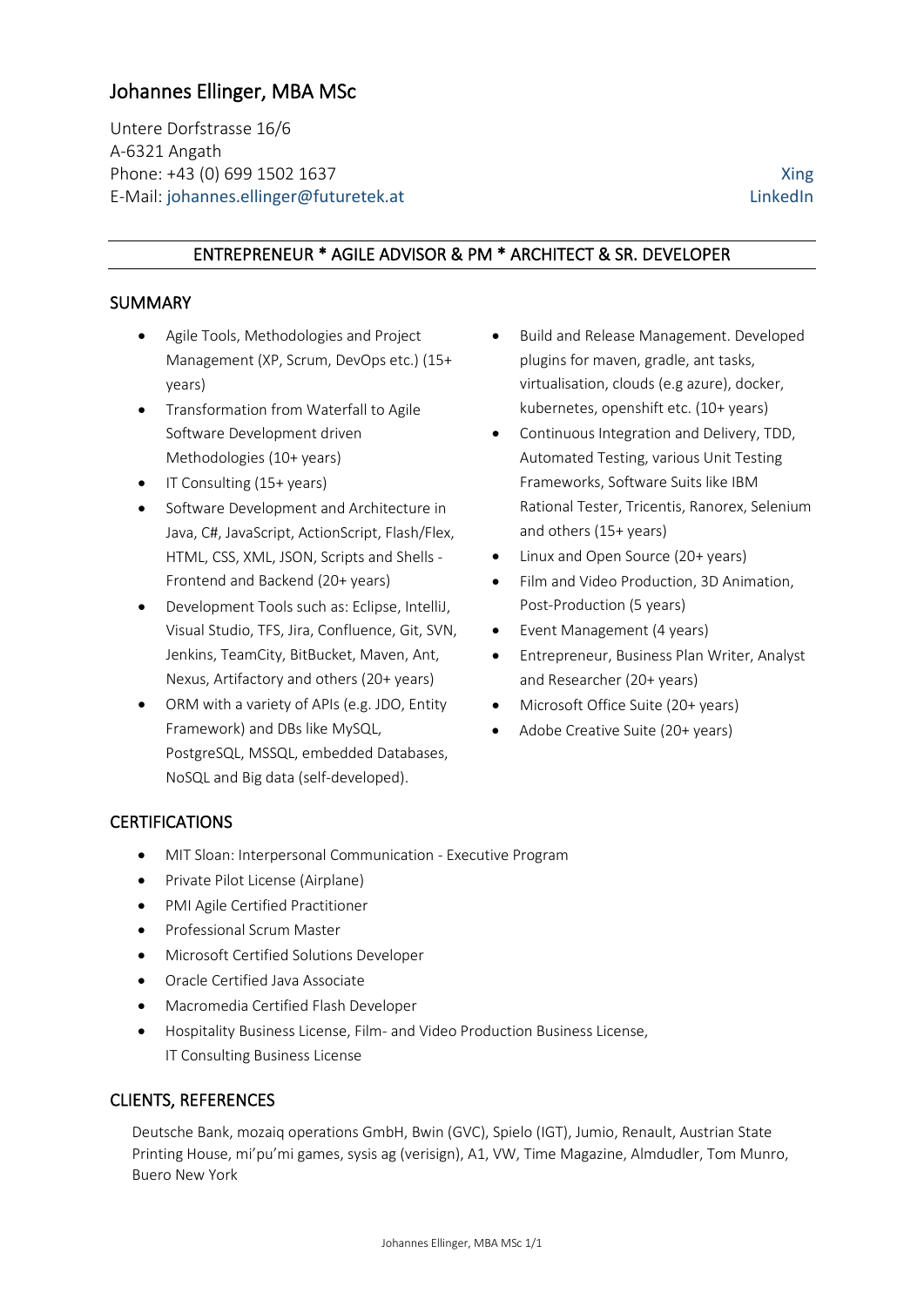# Johannes Ellinger, MBA MSc

Untere Dorfstrasse 16/6 A-6321 Angath Phone: +43 (0) 699 1502 1637 [Xing](https://www.xing.com/profile/Johannes_Ellinger) E-Mail: [johannes.ellinger@futuretek.at](mailto:johannes.ellinger@futuretek.at) [LinkedIn](https://at.linkedin.com/in/johannes-ellinger-65606638)

## ENTREPRENEUR \* AGILE ADVISOR & PM \* ARCHITECT & SR. DEVELOPER

#### SUMMARY

- Agile Tools, Methodologies and Project Management (XP, Scrum, DevOps etc.) (15+ years)
- Transformation from Waterfall to Agile Software Development driven Methodologies (10+ years)
- IT Consulting (15+ years)
- Software Development and Architecture in Java, C#, JavaScript, ActionScript, Flash/Flex, HTML, CSS, XML, JSON, Scripts and Shells - Frontend and Backend (20+ years)
- Development Tools such as: Eclipse, IntelliJ, Visual Studio, TFS, Jira, Confluence, Git, SVN, Jenkins, TeamCity, BitBucket, Maven, Ant, Nexus, Artifactory and others (20+ years)
- ORM with a variety of APIs (e.g. JDO, Entity Framework) and DBs like MySQL, PostgreSQL, MSSQL, embedded Databases, NoSQL and Big data (self-developed).
- Build and Release Management. Developed plugins for maven, gradle, ant tasks, virtualisation, clouds (e.g azure), docker, kubernetes, openshift etc. (10+ years)
- Continuous Integration and Delivery, TDD, Automated Testing, various Unit Testing Frameworks, Software Suits like IBM Rational Tester, Tricentis, Ranorex, Selenium and others (15+ years)
- Linux and Open Source (20+ years)
- Film and Video Production, 3D Animation, Post-Production (5 years)
- Event Management (4 years)
- Entrepreneur, Business Plan Writer, Analyst and Researcher (20+ years)
- Microsoft Office Suite (20+ years)
- Adobe Creative Suite (20+ years)

## CERTIFICATIONS

- MIT Sloan: Interpersonal Communication Executive Program
- Private Pilot License (Airplane)
- PMI Agile Certified Practitioner
- Professional Scrum Master
- Microsoft Certified Solutions Developer
- Oracle Certified Java Associate
- Macromedia Certified Flash Developer
- Hospitality Business License, Film- and Video Production Business License, IT Consulting Business License

#### CLIENTS, REFERENCES

Deutsche Bank, mozaiq operations GmbH, Bwin (GVC), Spielo (IGT), Jumio, Renault, Austrian State Printing House, mi'pu'mi games, sysis ag (verisign), A1, VW, Time Magazine, Almdudler, Tom Munro, Buero New York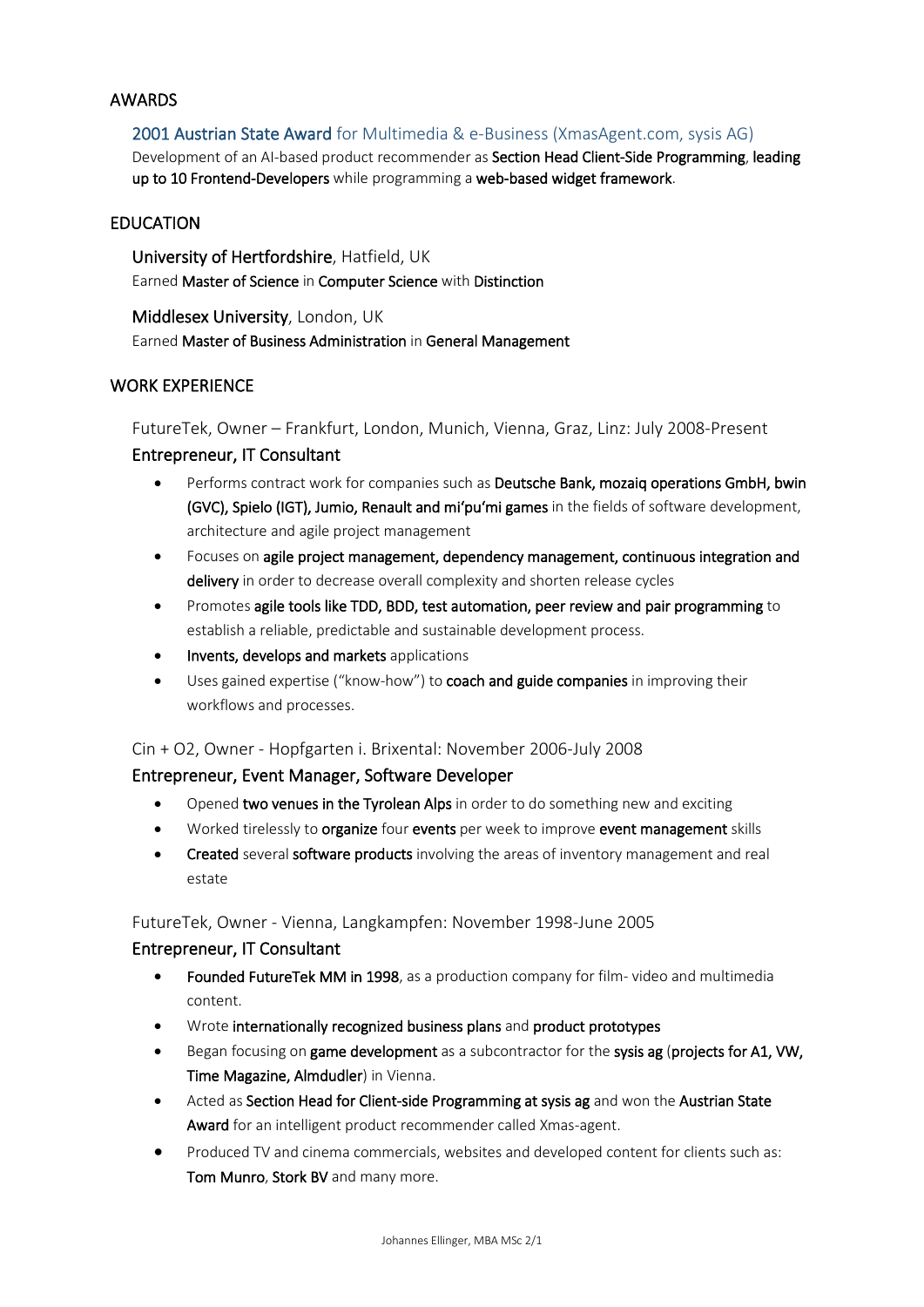#### AWARDS

2001 Austrian State Award [for Multimedia & e-Business \(XmasAgent.com, sysis AG\)](https://de.wikipedia.org/wiki/Staatspreis_Multimedia_und_e-Business) Development of an AI-based product recommender as Section Head Client-Side Programming, leading up to 10 Frontend-Developers while programming a web-based widget framework.

#### EDUCATION

University of Hertfordshire, Hatfield, UK Earned Master of Science in Computer Science with Distinction

Middlesex University, London, UK Earned Master of Business Administration in General Management

## WORK EXPERIENCE

FutureTek, Owner – Frankfurt, London, Munich, Vienna, Graz, Linz: July 2008-Present

# Entrepreneur, IT Consultant

- Performs contract work for companies such as Deutsche Bank, mozaiq operations GmbH, bwin (GVC), Spielo (IGT), Jumio, Renault and mi'pu'mi games in the fields of software development, architecture and agile project management
- Focuses on agile project management, dependency management, continuous integration and delivery in order to decrease overall complexity and shorten release cycles
- Promotes agile tools like TDD, BDD, test automation, peer review and pair programming to establish a reliable, predictable and sustainable development process.
- Invents, develops and markets applications
- Uses gained expertise ("know-how") to coach and guide companies in improving their workflows and processes.

#### Cin + O2, Owner - Hopfgarten i. Brixental: November 2006-July 2008

#### Entrepreneur, Event Manager, Software Developer

- Opened two venues in the Tyrolean Alps in order to do something new and exciting
- Worked tirelessly to **organize** four events per week to improve event management skills
- Created several software products involving the areas of inventory management and real estate

#### FutureTek, Owner - Vienna, Langkampfen: November 1998-June 2005

#### Entrepreneur, IT Consultant

- Founded FutureTek MM in 1998, as a production company for film- video and multimedia content.
- Wrote internationally recognized business plans and product prototypes
- Began focusing on game development as a subcontractor for the sysis ag (projects for A1, VW, Time Magazine, Almdudler) in Vienna.
- Acted as Section Head for Client-side Programming at sysis ag and won the Austrian State Award for an intelligent product recommender called Xmas-agent.
- Produced TV and cinema commercials, websites and developed content for clients such as: Tom Munro, Stork BV and many more.